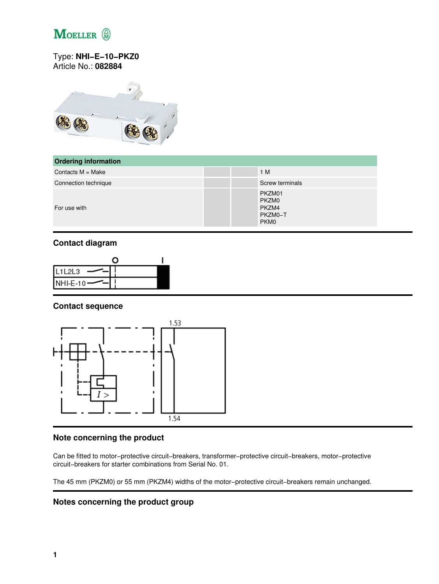

### Type: **NHI−E−10−PKZ0** Article No.: **082884**



| <b>Ordering information</b> |                                                         |
|-----------------------------|---------------------------------------------------------|
| Contacts $M = Make$         | 1 M                                                     |
| Connection technique        | <b>Screw terminals</b>                                  |
| For use with                | PKZM01<br>PKZM0<br>PKZM4<br>PKZM0-T<br>PKM <sub>0</sub> |

## **Contact diagram**



### **Contact sequence**



## **Note concerning the product**

Can be fitted to motor−protective circuit−breakers, transformer−protective circuit−breakers, motor−protective circuit−breakers for starter combinations from Serial No. 01.

The 45 mm (PKZM0) or 55 mm (PKZM4) widths of the motor−protective circuit−breakers remain unchanged.

#### **Notes concerning the product group**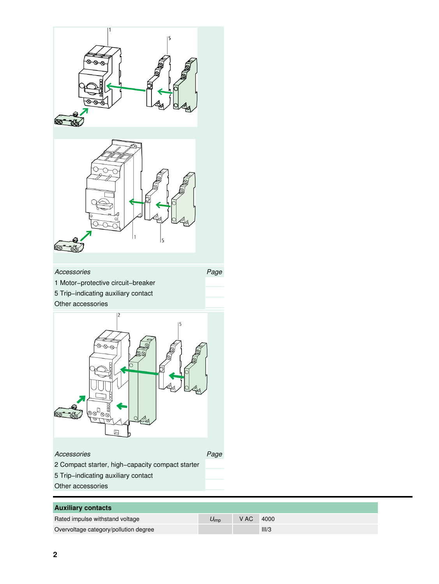

| <b>Auxiliary contacts</b>             |                    |      |       |
|---------------------------------------|--------------------|------|-------|
| Rated impulse withstand voltage       | $U_{\mathsf{imn}}$ | V AC | 4000  |
| Overvoltage category/pollution degree |                    |      | III/3 |